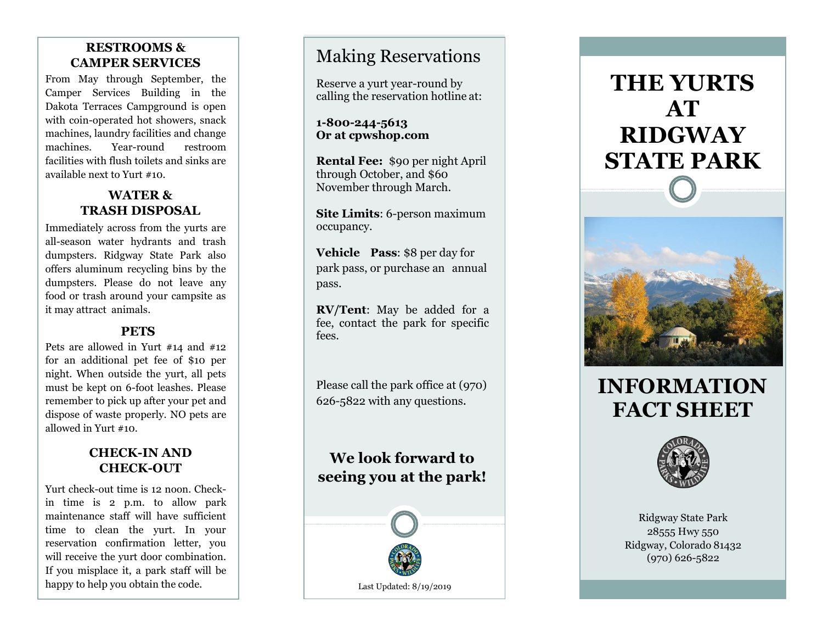## **RESTROOMS & CAMPER SERVICES**

From May through September, the Camper Services Building in the Dakota Terraces Campground is open with coin -operated hot showers, snack machines, laundry facilities and change machines. Year restroom facilities with flush toilets and sinks are available next to Yurt #10.

## **WATER & TRASH DISPOSAL**

Immediately across from the yurts are all -season water hydrants and trash dumpsters. Ridgway State Park also offers aluminum recycling bins by the dumpsters. Please do not leave any food or trash around your campsite as it may attract animals.

### **PETS**

Pets are allowed in Yurt #14 and #12 for an additional pet fee of \$10 per night. When outside the yurt, all pets must be kept on 6 -foot leashes. Please remember to pick up after your pet and dispose of waste properly. NO pets are allowed in Yurt #10.

## **CHECK -IN AND CHECK -OUT**

Yurt check -out time is 12 noon. Check in time is 2 p.m. to allow park maintenance staff will have sufficient time to clean the yurt. In your reservation confirmation letter, you will receive the yurt door combination. If you misplace it, a park staff will be happy to help you obtain the code.

# Making Reservations

Reserve a yurt year -round by calling the reservation hotline at:

**1-800-244-5613 Or at cpwshop.com**

**Rental Fee:**  \$ 90 per night April through October, and \$60 November through March.

**Site Limits**: 6 -person maximum occupancy.

**Vehicle Pass**: \$ 8 per day for park pass, or purchase an annual pass.

**RV/Tent**: May be added for a fee, contact the park for specific fees.

Please call the park office at (970) 626 -5822 with any questions .

# **We look forward to seeing you at the park!**



# **THE YURTS AT RIDGWAY STATE PARK**



# **INFORMATION FACT SHEET**



Ridgway State Park 28555 Hwy 550 Ridgway, Colorado 81432 (970) 626 -5822